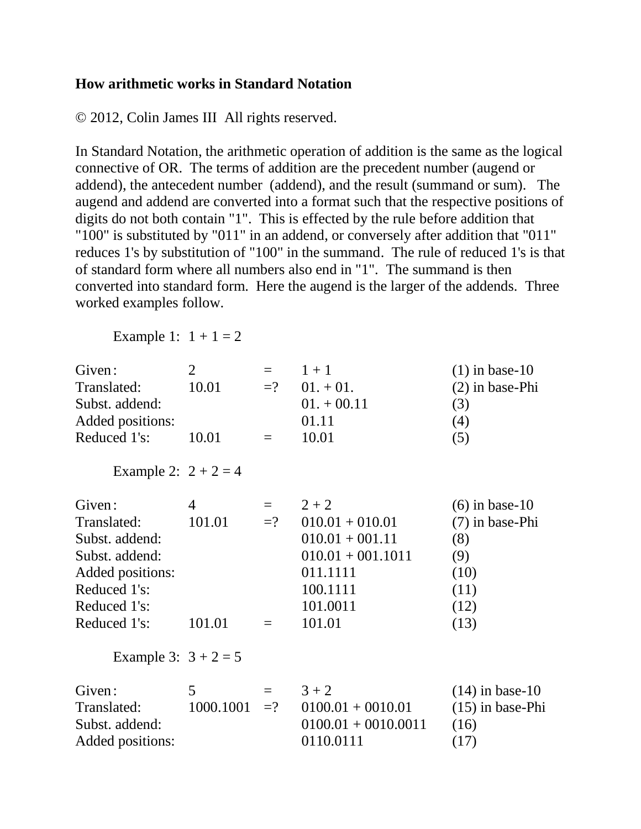## **How arithmetic works in Standard Notation**

© 2012, Colin James III All rights reserved.

In Standard Notation, the arithmetic operation of addition is the same as the logical connective of OR. The terms of addition are the precedent number (augend or addend), the antecedent number (addend), and the result (summand or sum). The augend and addend are converted into a format such that the respective positions of digits do not both contain "1". This is effected by the rule before addition that "100" is substituted by "011" in an addend, or conversely after addition that "011" reduces 1's by substitution of "100" in the summand. The rule of reduced 1's is that of standard form where all numbers also end in "1". The summand is then converted into standard form. Here the augend is the larger of the addends. Three worked examples follow.

Example 1:  $1 + 1 = 2$ 

| Given:                 | $\overline{2}$ | $=$      | $1 + 1$               | $(1)$ in base-10   |
|------------------------|----------------|----------|-----------------------|--------------------|
| Translated:            | 10.01          | $=$ ?    | $01. + 01.$           | $(2)$ in base-Phi  |
| Subst. addend:         |                |          | $01. + 00.11$         | (3)                |
| Added positions:       |                |          | 01.11                 | (4)                |
| Reduced 1's:           | 10.01          | $\equiv$ | 10.01                 | (5)                |
| Example 2: $2 + 2 = 4$ |                |          |                       |                    |
| Given:                 | $\overline{4}$ | $=$      | $2 + 2$               | $(6)$ in base-10   |
| Translated:            | 101.01         | $=$ ?    | $010.01 + 010.01$     | (7) in base-Phi    |
| Subst. addend:         |                |          | $010.01 + 001.11$     | (8)                |
| Subst. addend:         |                |          | $010.01 + 001.1011$   | (9)                |
| Added positions:       |                |          | 011.1111              | (10)               |
| Reduced 1's:           |                |          | 100.1111              | (11)               |
| Reduced 1's:           |                |          | 101.0011              | (12)               |
| Reduced 1's:           | 101.01         | $=$      | 101.01                | (13)               |
| Example 3: $3 + 2 = 5$ |                |          |                       |                    |
| Given:                 | $5^{\circ}$    | $=$ $-$  | $3 + 2$               | $(14)$ in base-10  |
| Translated:            | 1000.1001      | $=$ ?    | $0100.01 + 0010.01$   | $(15)$ in base-Phi |
| Subst. addend:         |                |          | $0100.01 + 0010.0011$ | (16)               |
| Added positions:       |                |          | 0110.0111             | (17)               |
|                        |                |          |                       |                    |